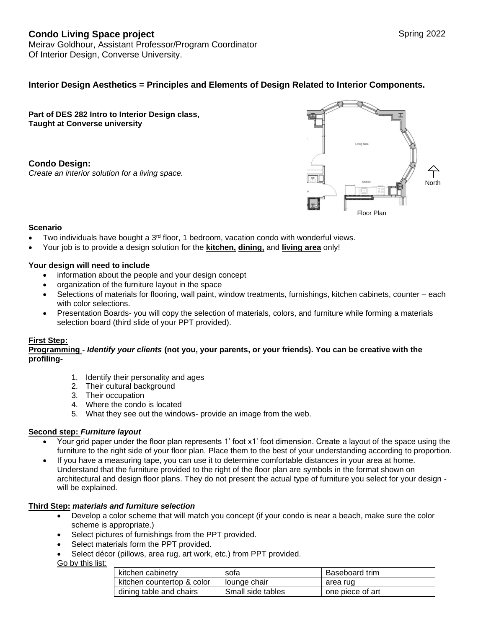# **Condo Living Space project** Spring 2022

Meirav Goldhour, Assistant Professor/Program Coordinator Of Interior Design, Converse University.

## **Interior Design Aesthetics = Principles and Elements of Design Related to Interior Components.**

**Part of DES 282 Intro to Interior Design class, Taught at Converse university** 

**Condo Design:**  *Create an interior solution for a living space.*



### **Scenario**

- Two individuals have bought a  $3<sup>rd</sup>$  floor, 1 bedroom, vacation condo with wonderful views.
- Your job is to provide a design solution for the **kitchen, dining,** and **living area** only!

### **Your design will need to include**

- information about the people and your design concept
- organization of the furniture layout in the space
- Selections of materials for flooring, wall paint, window treatments, furnishings, kitchen cabinets, counter each with color selections.
- Presentation Boards- you will copy the selection of materials, colors, and furniture while forming a materials selection board (third slide of your PPT provided).

### **First Step:**

#### **Programming -** *Identify your clients* **(not you, your parents, or your friends). You can be creative with the profiling-**

- 1. Identify their personality and ages
- 2. Their cultural background
- 3. Their occupation
- 4. Where the condo is located
- 5. What they see out the windows- provide an image from the web.

### **Second step:** *Furniture layout*

- Your grid paper under the floor plan represents 1' foot x1' foot dimension. Create a layout of the space using the furniture to the right side of your floor plan. Place them to the best of your understanding according to proportion.
- If you have a measuring tape, you can use it to determine comfortable distances in your area at home. Understand that the furniture provided to the right of the floor plan are symbols in the format shown on architectural and design floor plans. They do not present the actual type of furniture you select for your design will be explained.

### **Third Step:** *materials and furniture selection*

- Develop a color scheme that will match you concept (if your condo is near a beach, make sure the color scheme is appropriate.)
- Select pictures of furnishings from the PPT provided.
- Select materials form the PPT provided.
- Select décor (pillows, area rug, art work, etc.) from PPT provided.

Go by this list:

| kitchen cabinetry          | sofa              | Baseboard trim   |
|----------------------------|-------------------|------------------|
| kitchen countertop & color | lounge chair      | area rug         |
| dining table and chairs    | Small side tables | one piece of art |